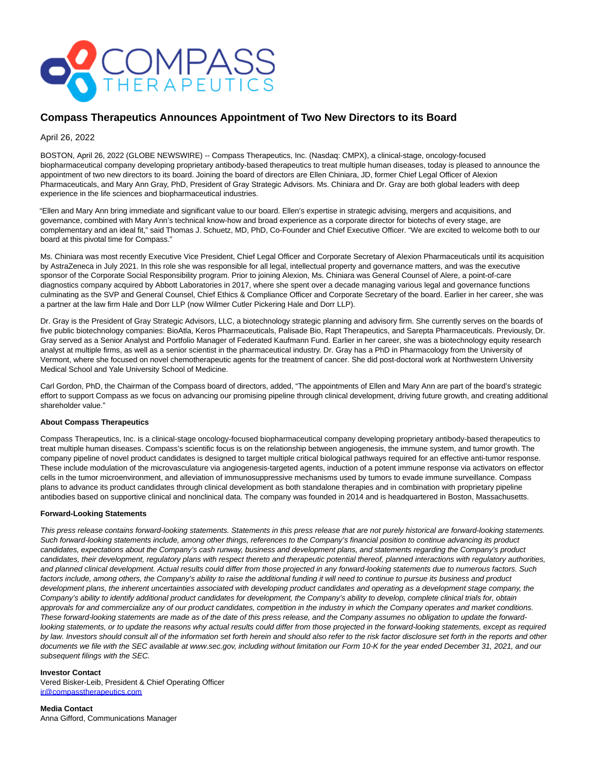

# **Compass Therapeutics Announces Appointment of Two New Directors to its Board**

April 26, 2022

BOSTON, April 26, 2022 (GLOBE NEWSWIRE) -- Compass Therapeutics, Inc. (Nasdaq: CMPX), a clinical-stage, oncology-focused biopharmaceutical company developing proprietary antibody-based therapeutics to treat multiple human diseases, today is pleased to announce the appointment of two new directors to its board. Joining the board of directors are Ellen Chiniara, JD, former Chief Legal Officer of Alexion Pharmaceuticals, and Mary Ann Gray, PhD, President of Gray Strategic Advisors. Ms. Chiniara and Dr. Gray are both global leaders with deep experience in the life sciences and biopharmaceutical industries.

"Ellen and Mary Ann bring immediate and significant value to our board. Ellen's expertise in strategic advising, mergers and acquisitions, and governance, combined with Mary Ann's technical know-how and broad experience as a corporate director for biotechs of every stage, are complementary and an ideal fit," said Thomas J. Schuetz, MD, PhD, Co-Founder and Chief Executive Officer. "We are excited to welcome both to our board at this pivotal time for Compass."

Ms. Chiniara was most recently Executive Vice President, Chief Legal Officer and Corporate Secretary of Alexion Pharmaceuticals until its acquisition by AstraZeneca in July 2021. In this role she was responsible for all legal, intellectual property and governance matters, and was the executive sponsor of the Corporate Social Responsibility program. Prior to joining Alexion, Ms. Chiniara was General Counsel of Alere, a point-of-care diagnostics company acquired by Abbott Laboratories in 2017, where she spent over a decade managing various legal and governance functions culminating as the SVP and General Counsel, Chief Ethics & Compliance Officer and Corporate Secretary of the board. Earlier in her career, she was a partner at the law firm Hale and Dorr LLP (now Wilmer Cutler Pickering Hale and Dorr LLP).

Dr. Gray is the President of Gray Strategic Advisors, LLC, a biotechnology strategic planning and advisory firm. She currently serves on the boards of five public biotechnology companies: BioAtla, Keros Pharmaceuticals, Palisade Bio, Rapt Therapeutics, and Sarepta Pharmaceuticals. Previously, Dr. Gray served as a Senior Analyst and Portfolio Manager of Federated Kaufmann Fund. Earlier in her career, she was a biotechnology equity research analyst at multiple firms, as well as a senior scientist in the pharmaceutical industry. Dr. Gray has a PhD in Pharmacology from the University of Vermont, where she focused on novel chemotherapeutic agents for the treatment of cancer. She did post-doctoral work at Northwestern University Medical School and Yale University School of Medicine.

Carl Gordon, PhD, the Chairman of the Compass board of directors, added, "The appointments of Ellen and Mary Ann are part of the board's strategic effort to support Compass as we focus on advancing our promising pipeline through clinical development, driving future growth, and creating additional shareholder value."

# **About Compass Therapeutics**

Compass Therapeutics, Inc. is a clinical-stage oncology-focused biopharmaceutical company developing proprietary antibody-based therapeutics to treat multiple human diseases. Compass's scientific focus is on the relationship between angiogenesis, the immune system, and tumor growth. The company pipeline of novel product candidates is designed to target multiple critical biological pathways required for an effective anti-tumor response. These include modulation of the microvasculature via angiogenesis-targeted agents, induction of a potent immune response via activators on effector cells in the tumor microenvironment, and alleviation of immunosuppressive mechanisms used by tumors to evade immune surveillance. Compass plans to advance its product candidates through clinical development as both standalone therapies and in combination with proprietary pipeline antibodies based on supportive clinical and nonclinical data. The company was founded in 2014 and is headquartered in Boston, Massachusetts.

### **Forward-Looking Statements**

This press release contains forward-looking statements. Statements in this press release that are not purely historical are forward-looking statements. Such forward-looking statements include, among other things, references to the Company's financial position to continue advancing its product candidates, expectations about the Company's cash runway, business and development plans, and statements regarding the Company's product candidates, their development, regulatory plans with respect thereto and therapeutic potential thereof, planned interactions with regulatory authorities, and planned clinical development. Actual results could differ from those projected in any forward-looking statements due to numerous factors. Such factors include, among others, the Company's ability to raise the additional funding it will need to continue to pursue its business and product development plans, the inherent uncertainties associated with developing product candidates and operating as a development stage company, the Company's ability to identify additional product candidates for development, the Company's ability to develop, complete clinical trials for, obtain approvals for and commercialize any of our product candidates, competition in the industry in which the Company operates and market conditions. These forward-looking statements are made as of the date of this press release, and the Company assumes no obligation to update the forwardlooking statements, or to update the reasons why actual results could differ from those projected in the forward-looking statements, except as required by law. Investors should consult all of the information set forth herein and should also refer to the risk factor disclosure set forth in the reports and other documents we file with the SEC available at www.sec.gov, including without limitation our Form 10-K for the year ended December 31, 2021, and our subsequent filings with the SEC.

#### **Investor Contact**

Vered Bisker-Leib, President & Chief Operating Officer [ir@compasstherapeutics.com](https://www.globenewswire.com/Tracker?data=eDsHNsrNu89MIJfTVfMcl7pUcHWgsk2Cp0JMPu-LRgZu-3bBwK3AB9LUlz5awPcSK1TRjFdoojGA2yaWI3-I9xUyXk60uvtza5L1SkrGJH_dB8N2oOTKFloXo_NLdH0Z)

# **Media Contact**

Anna Gifford, Communications Manager